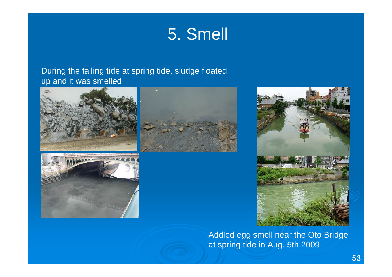# 5. Smell

#### During the falling tide at spring tide, sludge floated up and it was smelled







Addled egg smell near the Oto Bridge at spring tide in Aug. 5th 2009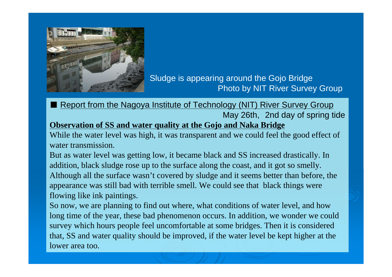

### Sludge is appearing around the Gojo Bridge Photo by NIT River Survey Group

■ Report from the Nagoya Institute of Technology (NIT) River Survey Group May 26th, 2nd day of spring tide **Observation of SS and water quality at the Gojo and Naka Bridge**

While the water level was high, it was transparent and we could feel the good effect of water transmission.

But as water level was getting low, it became black and SS increased drastically. In addition, black sludge rose up to the surface along the coast, and it got so smelly. Although all the surface wasn't covered by sludge and it seems better than before, the appearance was still bad with terrible smell. We could see that black things were flowing like ink paintings.

So now, we are planning to find out where, what conditions of water level, and how long time of the year, these bad phenomenon occurs. In addition, we wonder we could survey which hours people feel uncomfortable at some bridges. Then it is considered that, SS and water quality should be improved, if the water level be kept higher at the lower area too.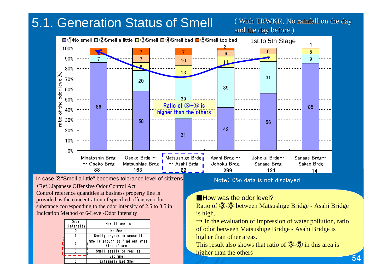## 5.1. Generation Status of Smell

( With TRWKR, No rainfall on the day and the day before )



(Ref.)Japanese Offensive Odor Control Act Control reference quantities at business property line is provided as the concentration of specified offensive odor substance corresponding to the odor intensity of 2.5 to 3.5 in Indication Method of 6-Level-Odor Intensity In case ②"Smell a little" becomes tolerance level of citizens

| Odor<br>Intensity | How it smells                                   |
|-------------------|-------------------------------------------------|
|                   | No Smell                                        |
|                   | Smelly engouh to sense it                       |
|                   | Smelly enough to find out what<br>kind of smell |
|                   | Smell easily to realize                         |
|                   | Bad Smell                                       |
|                   | Extremely Bad Smell                             |

Note) 0% data is not displayed

#### **E** How was the odor level?

Ratio of 3-5 between Matsushige Bridge - Asahi Bridge is high.

 $\rightarrow$  In the evaluation of impression of water pollution, ratio of odor between Matsushige Bridge - Asahi Bridge is higher t han other areas.

54

This result also shows that ratio of  $\mathcal{F}(\mathcal{F})$  in this area is higher t han the others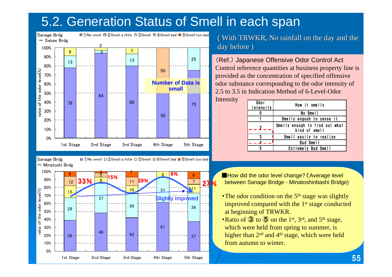### 5.2. Generation Status of Smell in each span



 $\sim$  Minatoshi Brdg

Sanage Brdg  $\square$  (in  $\Omega$  smell  $\square$  2 Smell a little  $\square$  3 Smell  $\square$  4 Smell bad  $\square$  (5 Smell too bad



 $($  With TRWKR, No rainfall on the day and the day before )

(Ref.) Japanese Offensive Odor Control Act Control reference quantities at business p roperty line is provided as the concentration of specified offensive odor substance corresponding t o the odor intensity of 2.5 to 3.5 in Indication Method of 6-Level-Odor

Intensity

| Odor<br>Intensity       | How it smells                                   |
|-------------------------|-------------------------------------------------|
|                         | No Smell                                        |
|                         | Smelly engouh to sense it                       |
| $\overline{\mathbf{2}}$ | Smelly enough to find out what<br>kind of smell |
| 3                       | Smell easily to realize                         |
|                         | Bad Smell                                       |
|                         | Extremely Bad Smell                             |

■How did the odor level change? (Average level between Sanage Bridge - Minatoshinbashi Bridge)

- The odor condition on the  $5<sup>th</sup>$  stage was slightly improved compared with the 1<sup>st</sup> stage conducted at beginning of TRWKR.
- Ratio of  $\mathbf{\Im}$  to  $\mathbf{\Im}$  on the 1<sup>st</sup>, 3<sup>rd</sup>, and 5<sup>th</sup> stage, which were held from spring to summer, is higher than 2<sup>nd</sup> and 4<sup>th</sup> stage, which were held from autumn to winter.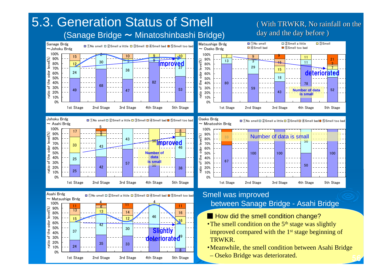## 5.3. Generation Status of Smell

0%10% 20% 30%40%50% 60%70%80%90%100%

0%10%20%30%40%50%60%70%80%90%100%

ratio of the odor level(%)

the

ჼჾ

 $ratio$ 

odor

 $level(% \mathcal{N})$ 

ratio of the odor level(%)

of the

odor

 $level(\%)$ 

#### (Sanage Bridge ~ Minatoshinbashi Bridge)

#### day and the day before )  $\square$  (1) No smell  $\square$  (2) Smell a little  $\square$  (3) Smell ①No smell ②Smell a little ③Smell ④Smell bad ⑤Smell too bad Sanage Brdg ~Johoku Brdg Matsushige Brdg ④Smell bad ⑤Smell too bad  $\sim$  Oseko Brdg 100%2 100 9 10 9971511 $level(\%)$ 90%م ratio of the odor level(%) 1321530 $\frac{3}{10}$   $\frac{1}{10}$   $\frac{1}{10}$   $\frac{1}{10}$   $\frac{1}{10}$ **Improved** 11121580% 32970%71538deteriorated 24odor 60%1850%the 828040%7868৳ 30%59535249**Number of data**47ratio 4320%**is small**10%0%1st Stage 2nd Stage 3rd Stage 4th Stage 5th Stage 1st Stage 2nd Stage 3rd Stage 4th Stage 5th Stage Johoku Brdg  $\square$  (i)  $\square$  (i)  $\square$  a little  $\square$  (3) Smell  $\square$  (4) Smell bad  $\square$  (5) Smell too bad ①No smell ②Smell a little ③Smell ④Smell bad ⑤Smell too bad Oseko Brdg ~ Minatoshin Brdg  $\sim$  Asahi Brdg <sup>5</sup> <sup>17</sup> <sup>8</sup> <sup>5</sup> 100% $level(\%)$ 90% $-$ 5ratio of the odor level(%) Number of data is small80%43 $\frac{1}{2}$ <sup>50</sup>Improved 5070% <sup>33</sup> 4346odor 60% $$ **kumber** 50%100 100 100e<br>S **data**40%2567**isma** ჼჾ 30%5750 $\sim$  50 42ratio 20% 382510%0%1st Stage 2nd Stage 3rd Stage 4th Stage 5th Stage 1st Stage 2nd Stage 3rd Stage 4th Stage 5th Stage 調査数2 調査数13 調査数2 Smell was improved Asahi Brdg<br> **E** (1) Only smell  $\Box$  (2) Smell a little  $\Box$  (3) Smell  $\Box$  (4) Smell bad  $\Box$  (5) Smell too bad 44between Sanage Bridge - Asahi Bridge



- How did the smell condition change?
- The smell condition on the  $5<sup>th</sup>$  stage was slightly improved compared with the 1<sup>st</sup> stage beginning of TRWKR.
- ・Meanwhile, the smell condition between Asahi Bridge – Oseko Bridge was deteriorated. 56

( With TRWKR, No rainfall on the ( With TRWKR, No rainfall on the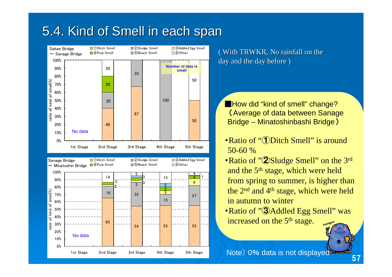### 5.4. Kind of Smell in each span



( With TRWKR, No rainfall on the day and the day before )

**How did "kind of smell" change?** (Average of data between Sanage Bridge – Minatoshinbashi Bridge )

- Ratio of "*Ditch Smell*" is around 50-60 %
- Ratio of "2 Sludge Smell" on the 3<sup>rd</sup> and the 5<sup>th</sup> stage, which were held from spring to summer, is higher than the 2nd and 4th stage, which were held in autumn to winter
- Ratio of "<sup>3</sup> Addled Egg Smell" was increased on the 5<sup>th</sup> stage.

Note) 0% data is not displayed<br>57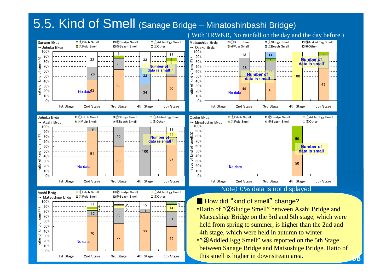### 5.5. Kind of Smell (Sanage Bridge – Minatoshinbashi Bridge)

( With TRWKR, No rainfall on the day and the day before )

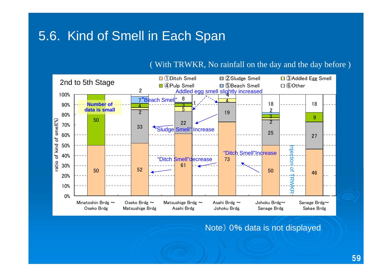### 5.6. Kind of Smell in Each Span

#### ( With TRWKR, No rainfall on the day and the day before )



Note) 0% data is not displayed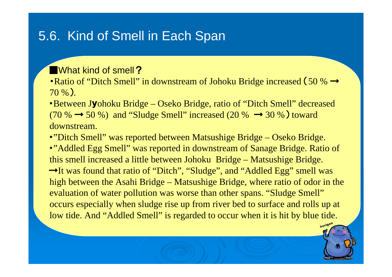### 5.6. Kind of Smell in Each Span

What kind of smell?

• Ratio of "Ditch Smell" in downstream of Johoku Bridge increased (50 %  $\rightarrow$ 70 %).

・Between Jyohoku Bridge – Oseko Bridge, ratio of "Ditch Smell" decreased (70 %  $\rightarrow$  50 %) and "Sludge Smell" increased (20 %  $\rightarrow$  30 %) toward downstream.

•"Ditch Smell" was reported between Matsushige Bridge – Oseko Bridge. •"Addled Egg Smell" was reported in downstream of Sanage Bridge. Ratio of this smell increased a little between Johoku Bridge – Matsushige Bridge. →It was found that ratio of "Ditch", "Sludge", and "Addled Egg" smell was high between the Asahi Bridge – Matsushige Bridge, where ratio of odor in the evaluation of water pollution was worse than other spans. "Sludge Smell" occurs especially when sludge rise up from river bed to surface and rolls up at low tide. And "Addled Smell" is regarded to occur when it is hit by blue tide.

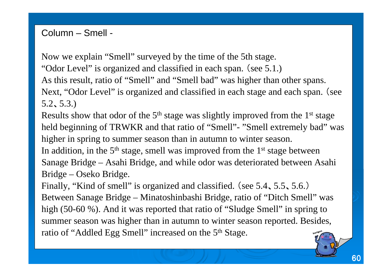Column – Smell -

Now we explain "Smell" surveyed by the time of the 5th stage. "Odor Level" is organized and classified in each span. (see 5.1.) As this result, ratio of "Smell" and "Smell bad" was higher than other spans. Next, "Odor Level" is organized and classified in each stage and each span. (see 5.2、5.3.)

Results show that odor of the  $5<sup>th</sup>$  stage was slightly improved from the  $1<sup>st</sup>$  stage held beginning of TRWKR and that ratio of "Smell"- "Smell extremely bad" was higher in spring to summer season than in autumn to winter season. In addition, in the  $5<sup>th</sup>$  stage, smell was improved from the  $1<sup>st</sup>$  stage between Sanage Bridge – Asahi Bridge, and while odor was deteriorated between Asahi

Bridge – Oseko Bridge.

Finally, "Kind of smell" is organized and classified. (see 5.4、5.5、5.6.) Between Sanage Bridge – Minatoshinbashi Bridge, ratio of "Ditch Smell" was high (50-60 %). And it was reported that ratio of "Sludge Smell" in spring to summer season was higher than in autumn to winter season reported. Besides, ratio of "Addled Egg Smell" increased on the 5<sup>th</sup> Stage.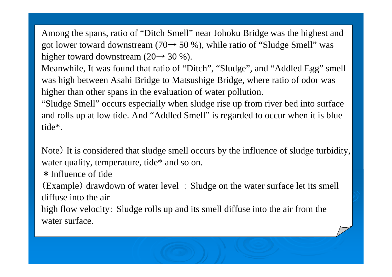Among the spans, ratio of "Ditch Smell" near Johoku Bridge was the highest and got lower toward downstream (70 $\rightarrow$  50 %), while ratio of "Sludge Smell" was higher toward downstream (20 $\rightarrow$  30 %).

Meanwhile, It was found that ratio of "Ditch", "Sludge", and "Addled Egg" smell was high between Asahi Bridge to Matsushige Bridge, where ratio of odor was higher than other spans in the evaluation of water pollution.

"Sludge Smell" occurs especially when sludge rise up from river bed into surface and rolls up at low tide. And "Addled Smell" is regarded to occur when it is blue tide\*.

Note) It is considered that sludge smell occurs by the influence of sludge turbidity, water quality, temperature, tide\* and so on.

\*Influence of tide

(Example ) drawdown of water level : Sludge on the water surface let its smell diffuse into the air

high flow velocity: Sludge rolls up and its smell diffuse into the air from the water surface.